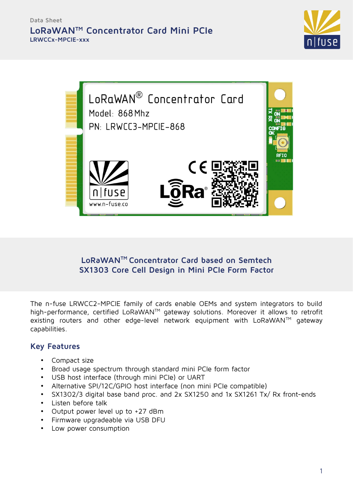



# **LoRaWANTM Concentrator Card based on Semtech SX1303 Core Cell Design in Mini PCIe Form Factor**

The n-fuse LRWCC2-MPCIE family of cards enable OEMs and system integrators to build high-performance, certified LoRaWAN™ gateway solutions. Moreover it allows to retrofit existing routers and other edge-level network equipment with  $LoRaWAN^{TM}$  gateway capabilities.

### **Key Features**

- Compact size
- Broad usage spectrum through standard mini PCIe form factor
- USB host interface (through mini PCIe) or UART
- Alternative SPI/12C/GPIO host interface (non mini PCIe compatible)
- SX1302/3 digital base band proc. and 2x SX1250 and 1x SX1261 Tx/ Rx front-ends
- Listen before talk
- Output power level up to +27 dBm
- Firmware upgradeable via USB DFU
- Low power consumption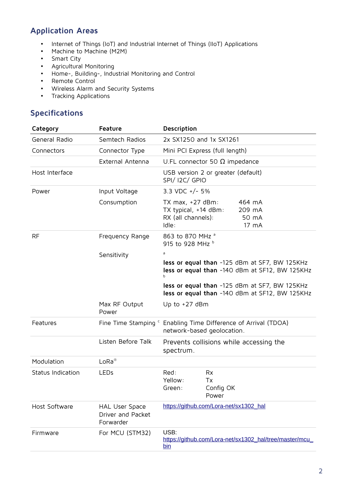# **Application Areas**

- Internet of Things (IoT) and Industrial Internet of Things (IIoT) Applications
- Machine to Machine (M2M)
- Smart City
- Agricultural Monitoring
- Home-, Building-, Industrial Monitoring and Control
- Remote Control
- Wireless Alarm and Security Systems<br>• Tracking Apolications
- Tracking Applications

## **Specifications**

| Category          | Feature                                          | Description                                                                                              |                                |                                                        |
|-------------------|--------------------------------------------------|----------------------------------------------------------------------------------------------------------|--------------------------------|--------------------------------------------------------|
| General Radio     | Semtech Radios                                   | 2x SX1250 and 1x SX1261                                                                                  |                                |                                                        |
| Connectors        | Connector Type                                   | Mini PCI Express (full length)                                                                           |                                |                                                        |
|                   | External Antenna                                 | U.FL connector 50 $\Omega$ impedance                                                                     |                                |                                                        |
| Host Interface    |                                                  | USB version 2 or greater (default)<br><b>SPI/ I2C/ GPIO</b>                                              |                                |                                                        |
| Power             | Input Voltage                                    | 3.3 VDC $+/-$ 5%                                                                                         |                                |                                                        |
|                   | Consumption                                      | TX $max, +27$ dBm:<br>TX typical, +14 dBm:<br>RX (all channels):<br>Idle:                                |                                | 464 mA<br>209 mA<br>50 mA<br>17 mA                     |
| <b>RF</b>         | Frequency Range                                  | 863 to 870 MHz <sup>a</sup><br>915 to 928 MHz b                                                          |                                |                                                        |
|                   | Sensitivity                                      | a                                                                                                        |                                |                                                        |
|                   |                                                  | less or equal than -125 dBm at SF7, BW 125KHz<br>less or equal than -140 dBm at SF12, BW 125KHz<br>b     |                                |                                                        |
|                   |                                                  | less or equal than -125 dBm at SF7, BW 125KHz<br>less or equal than -140 dBm at SF12, BW 125KHz          |                                |                                                        |
|                   | Max RF Output<br>Power                           | Up to $+27$ dBm                                                                                          |                                |                                                        |
| Features          |                                                  | Fine Time Stamping <sup>c</sup> Enabling Time Difference of Arrival (TDOA)<br>network-based geolocation. |                                |                                                        |
|                   | Listen Before Talk                               | spectrum.                                                                                                |                                | Prevents collisions while accessing the                |
| Modulation        | $L_0$ Ra®                                        |                                                                                                          |                                |                                                        |
| Status Indication | LEDs                                             | Red:<br>Yellow:<br>Green:                                                                                | Rx<br>Tx<br>Config OK<br>Power |                                                        |
| Host Software     | HAL User Space<br>Driver and Packet<br>Forwarder | https://github.com/Lora-net/sx1302_hal                                                                   |                                |                                                        |
| Firmware          | For MCU (STM32)                                  | USB:<br>bin                                                                                              |                                | https://github.com/Lora-net/sx1302_hal/tree/master/mcu |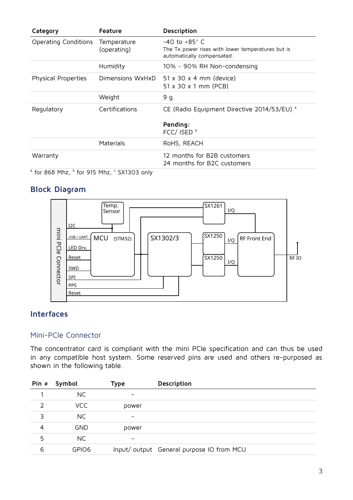| Category                                                                     | <b>Feature</b>             | Description                                                                                                 |
|------------------------------------------------------------------------------|----------------------------|-------------------------------------------------------------------------------------------------------------|
| Operating Conditions                                                         | Temperature<br>(operating) | $-40$ to $+85^{\circ}$ C<br>The Tx power rises with lower temperatures but is<br>automatically compensated. |
|                                                                              | Humidity                   | 10% ~ 90% RH Non-condensing                                                                                 |
| Physical Properties                                                          | Dimensions WxHxD           | $51 \times 30 \times 4$ mm (device)<br>$51 \times 30 \times 1$ mm (PCB)                                     |
|                                                                              | Weight                     | 9 g                                                                                                         |
| Regulatory                                                                   | Certifications             | CE (Radio Equipment Directive 2014/53/EU) <sup>a</sup>                                                      |
|                                                                              |                            | Pending:<br>FCC/ ISED <sup>b</sup>                                                                          |
|                                                                              | Materials                  | RoHS, REACH                                                                                                 |
| Warranty                                                                     |                            | 12 months for B2B customers<br>24 months for B2C customers                                                  |
| <sup>∂</sup> for 868 Mhz, <sup>b</sup> for 915 Mhz, <sup>c</sup> SX1303 only |                            |                                                                                                             |

## **Block Diagram**



### **Interfaces**

#### Mini-PCIe Connector

The concentrator card is compliant with the mini PCIe specification and can thus be used in any compatible host system. Some reserved pins are used and others re-purposed as shown in the following table.

| Pin # | Symbol     | Type                     | Description                              |
|-------|------------|--------------------------|------------------------------------------|
|       | NC.        | -                        |                                          |
| フ     | VCC        | power                    |                                          |
| 3     | NC.        | $\overline{\phantom{0}}$ |                                          |
| 4     | <b>GND</b> | power                    |                                          |
| 5     | NC.        | $\overline{\phantom{0}}$ |                                          |
| 6     | GPIO6      |                          | Input/output General purpose IO from MCU |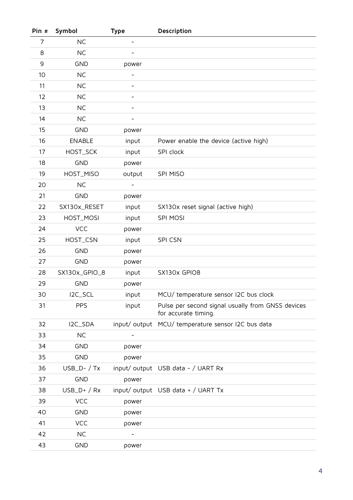| Pin # | Symbol         | <b>Type</b>              | Description                                                               |
|-------|----------------|--------------------------|---------------------------------------------------------------------------|
| 7     | <b>NC</b>      | $\overline{\phantom{a}}$ |                                                                           |
| 8     | <b>NC</b>      | $\overline{\phantom{a}}$ |                                                                           |
| 9     | <b>GND</b>     | power                    |                                                                           |
| 10    | <b>NC</b>      |                          |                                                                           |
| 11    | <b>NC</b>      |                          |                                                                           |
| 12    | <b>NC</b>      |                          |                                                                           |
| 13    | <b>NC</b>      |                          |                                                                           |
| 14    | <b>NC</b>      |                          |                                                                           |
| 15    | <b>GND</b>     | power                    |                                                                           |
| 16    | <b>ENABLE</b>  | input                    | Power enable the device (active high)                                     |
| 17    | HOST_SCK       | input                    | SPI clock                                                                 |
| 18    | <b>GND</b>     | power                    |                                                                           |
| 19    | HOST_MISO      | output                   | SPI MISO                                                                  |
| 20    | <b>NC</b>      |                          |                                                                           |
| 21    | <b>GND</b>     | power                    |                                                                           |
| 22    | SX130x_RESET   | input                    | SX130x reset signal (active high)                                         |
| 23    | HOST_MOSI      | input                    | <b>SPI MOSI</b>                                                           |
| 24    | <b>VCC</b>     | power                    |                                                                           |
| 25    | HOST_CSN       | input                    | SPI CSN                                                                   |
| 26    | <b>GND</b>     | power                    |                                                                           |
| 27    | <b>GND</b>     | power                    |                                                                           |
| 28    | SX130x_GPIO_8  | input                    | SX130x GPIO8                                                              |
| 29    | <b>GND</b>     | power                    |                                                                           |
| 30    | I2C_SCL        | input                    | MCU/ temperature sensor I2C bus clock                                     |
| 31    | <b>PPS</b>     | input                    | Pulse per second signal usually from GNSS devices<br>for accurate timing. |
| 32    | I2C_SDA        |                          | input/output MCU/temperature sensor I2C bus data                          |
| 33    | <b>NC</b>      |                          |                                                                           |
| 34    | <b>GND</b>     | power                    |                                                                           |
| 35    | <b>GND</b>     | power                    |                                                                           |
| 36    | $USB_D - / Tx$ |                          | input/output USB data - / UART Rx                                         |
| 37    | <b>GND</b>     | power                    |                                                                           |
| 38    | $USB_D+ / Rx$  |                          | input/ output USB data + / UART Tx                                        |
| 39    | <b>VCC</b>     | power                    |                                                                           |
| 40    | <b>GND</b>     | power                    |                                                                           |
| 41    | <b>VCC</b>     | power                    |                                                                           |
| 42    | <b>NC</b>      |                          |                                                                           |
| 43    | <b>GND</b>     | power                    |                                                                           |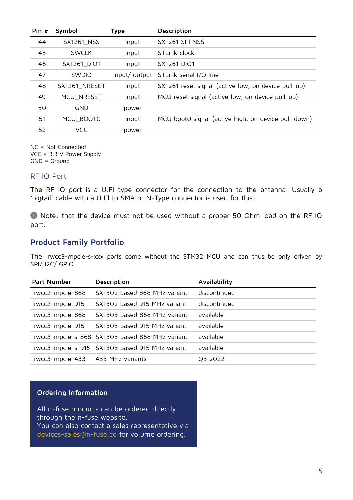| Pin # | Symbol        | Type          | Description                                         |
|-------|---------------|---------------|-----------------------------------------------------|
| 44    | SX1261_NSS    | input         | SX1261 SPI NSS                                      |
| 45    | <b>SWCLK</b>  | input         | STLink clock                                        |
| 46    | SX1261_DIO1   | input         | SX1261 DIO1                                         |
| 47    | <b>SWDIO</b>  | input/ output | STLink serial I/O line                              |
| 48    | SX1261_NRESET | input         | SX1261 reset signal (active low, on device pull-up) |
| 49    | MCU_NRESET    | input         | MCU reset signal (active low, on device pull-up)    |
| 50    | <b>GND</b>    | power         |                                                     |
| 51    | MCU_BOOT0     | Inout         | MCU bootO signal (active high, on device pull-down) |
| 52    | VCC           | power         |                                                     |

NC = Not Connected VCC = 3.3 V Power Supply GND = Ground

#### RF IO Port

The RF IO port is a U.Fl type connector for the connection to the antenna. Usually a 'pigtail' cable with a U.Fl to SMA or N-Type connector is used for this.

 Note: that the device must not be used without a proper 50 Ohm load on the RF IO port.

#### **Product Family Portfolio**

The lrwcc3-mpcie-s-xxx parts come without the STM32 MCU and can thus be only driven by SPI/ I2C/ GPIO.

| Part Number      | Description                                     | Availability |
|------------------|-------------------------------------------------|--------------|
| Irwcc2-mpcie-868 | SX1302 based 868 MHz variant                    | discontinued |
| Irwcc2-mpcie-915 | SX1302 based 915 MHz variant                    | discontinued |
| Irwcc3-mpcie-868 | SX1303 based 868 MHz variant                    | available    |
| Irwcc3-mpcie-915 | SX1303 based 915 MHz variant                    | available    |
|                  | Irwcc3-mpcie-s-868 SX1303 based 868 MHz variant | available    |
|                  | Irwcc3-mpcie-s-915 SX1303 based 915 MHz variant | available    |
| lrwcc3-mpcie-433 | 433 MHz variants                                | Q3 2022      |

#### **Ordering Information**

All n-fuse products can be ordered directly through the n-fuse website. You can also contact a sales representative via devices-sales@n-fuse.co for volume ordering.